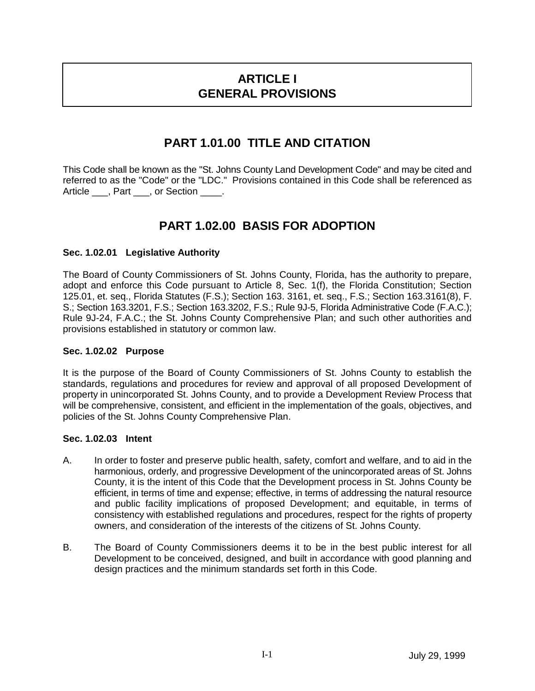# **ARTICLE I GENERAL PROVISIONS**

### **PART 1.01.00 TITLE AND CITATION**

This Code shall be known as the "St. Johns County Land Development Code" and may be cited and referred to as the "Code" or the "LDC." Provisions contained in this Code shall be referenced as Article \_\_\_, Part \_\_\_, or Section \_\_\_\_.

## **PART 1.02.00 BASIS FOR ADOPTION**

### **Sec. 1.02.01 Legislative Authority**

The Board of County Commissioners of St. Johns County, Florida, has the authority to prepare, adopt and enforce this Code pursuant to Article 8, Sec. 1(f), the Florida Constitution; Section 125.01, et. seq., Florida Statutes (F.S.); Section 163. 3161, et. seq., F.S.; Section 163.3161(8), F. S.; Section 163.3201, F.S.; Section 163.3202, F.S.; Rule 9J-5, Florida Administrative Code (F.A.C.); Rule 9J-24, F.A.C.; the St. Johns County Comprehensive Plan; and such other authorities and provisions established in statutory or common law.

### **Sec. 1.02.02 Purpose**

It is the purpose of the Board of County Commissioners of St. Johns County to establish the standards, regulations and procedures for review and approval of all proposed Development of property in unincorporated St. Johns County, and to provide a Development Review Process that will be comprehensive, consistent, and efficient in the implementation of the goals, objectives, and policies of the St. Johns County Comprehensive Plan.

### **Sec. 1.02.03 Intent**

- A. In order to foster and preserve public health, safety, comfort and welfare, and to aid in the harmonious, orderly, and progressive Development of the unincorporated areas of St. Johns County, it is the intent of this Code that the Development process in St. Johns County be efficient, in terms of time and expense; effective, in terms of addressing the natural resource and public facility implications of proposed Development; and equitable, in terms of consistency with established regulations and procedures, respect for the rights of property owners, and consideration of the interests of the citizens of St. Johns County.
- B. The Board of County Commissioners deems it to be in the best public interest for all Development to be conceived, designed, and built in accordance with good planning and design practices and the minimum standards set forth in this Code.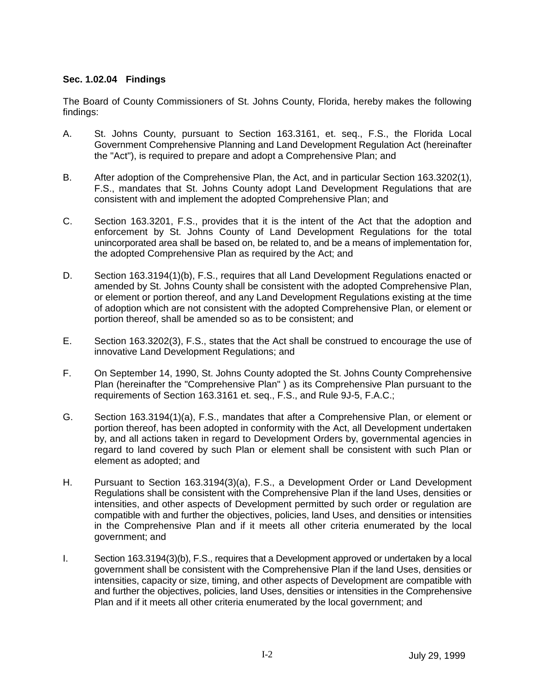### **Sec. 1.02.04 Findings**

The Board of County Commissioners of St. Johns County, Florida, hereby makes the following findings:

- A. St. Johns County, pursuant to Section 163.3161, et. seq., F.S., the Florida Local Government Comprehensive Planning and Land Development Regulation Act (hereinafter the "Act"), is required to prepare and adopt a Comprehensive Plan; and
- B. After adoption of the Comprehensive Plan, the Act, and in particular Section 163.3202(1), F.S., mandates that St. Johns County adopt Land Development Regulations that are consistent with and implement the adopted Comprehensive Plan; and
- C. Section 163.3201, F.S., provides that it is the intent of the Act that the adoption and enforcement by St. Johns County of Land Development Regulations for the total unincorporated area shall be based on, be related to, and be a means of implementation for, the adopted Comprehensive Plan as required by the Act; and
- D. Section 163.3194(1)(b), F.S., requires that all Land Development Regulations enacted or amended by St. Johns County shall be consistent with the adopted Comprehensive Plan, or element or portion thereof, and any Land Development Regulations existing at the time of adoption which are not consistent with the adopted Comprehensive Plan, or element or portion thereof, shall be amended so as to be consistent; and
- E. Section 163.3202(3), F.S., states that the Act shall be construed to encourage the use of innovative Land Development Regulations; and
- F. On September 14, 1990, St. Johns County adopted the St. Johns County Comprehensive Plan (hereinafter the "Comprehensive Plan" ) as its Comprehensive Plan pursuant to the requirements of Section 163.3161 et. seq., F.S., and Rule 9J-5, F.A.C.;
- G. Section 163.3194(1)(a), F.S., mandates that after a Comprehensive Plan, or element or portion thereof, has been adopted in conformity with the Act, all Development undertaken by, and all actions taken in regard to Development Orders by, governmental agencies in regard to land covered by such Plan or element shall be consistent with such Plan or element as adopted; and
- H. Pursuant to Section 163.3194(3)(a), F.S., a Development Order or Land Development Regulations shall be consistent with the Comprehensive Plan if the land Uses, densities or intensities, and other aspects of Development permitted by such order or regulation are compatible with and further the objectives, policies, land Uses, and densities or intensities in the Comprehensive Plan and if it meets all other criteria enumerated by the local government; and
- I. Section 163.3194(3)(b), F.S., requires that a Development approved or undertaken by a local government shall be consistent with the Comprehensive Plan if the land Uses, densities or intensities, capacity or size, timing, and other aspects of Development are compatible with and further the objectives, policies, land Uses, densities or intensities in the Comprehensive Plan and if it meets all other criteria enumerated by the local government; and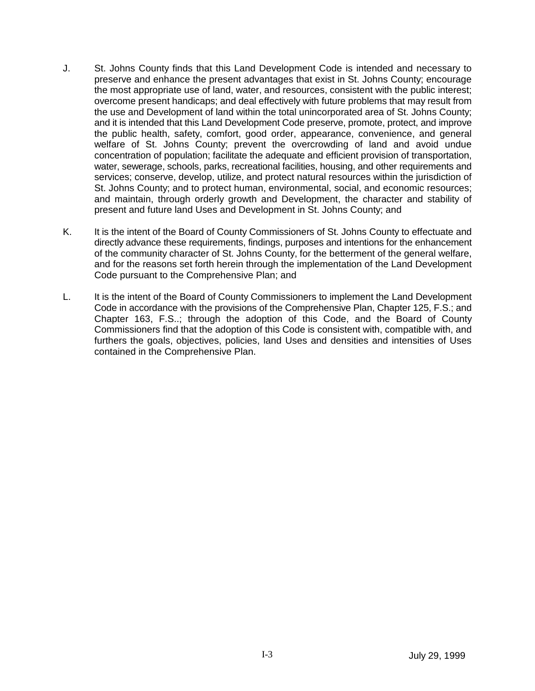- J. St. Johns County finds that this Land Development Code is intended and necessary to preserve and enhance the present advantages that exist in St. Johns County; encourage the most appropriate use of land, water, and resources, consistent with the public interest; overcome present handicaps; and deal effectively with future problems that may result from the use and Development of land within the total unincorporated area of St. Johns County; and it is intended that this Land Development Code preserve, promote, protect, and improve the public health, safety, comfort, good order, appearance, convenience, and general welfare of St. Johns County; prevent the overcrowding of land and avoid undue concentration of population; facilitate the adequate and efficient provision of transportation, water, sewerage, schools, parks, recreational facilities, housing, and other requirements and services; conserve, develop, utilize, and protect natural resources within the jurisdiction of St. Johns County; and to protect human, environmental, social, and economic resources; and maintain, through orderly growth and Development, the character and stability of present and future land Uses and Development in St. Johns County; and
- K. It is the intent of the Board of County Commissioners of St. Johns County to effectuate and directly advance these requirements, findings, purposes and intentions for the enhancement of the community character of St. Johns County, for the betterment of the general welfare, and for the reasons set forth herein through the implementation of the Land Development Code pursuant to the Comprehensive Plan; and
- L. It is the intent of the Board of County Commissioners to implement the Land Development Code in accordance with the provisions of the Comprehensive Plan, Chapter 125, F.S.; and Chapter 163, F.S..; through the adoption of this Code, and the Board of County Commissioners find that the adoption of this Code is consistent with, compatible with, and furthers the goals, objectives, policies, land Uses and densities and intensities of Uses contained in the Comprehensive Plan.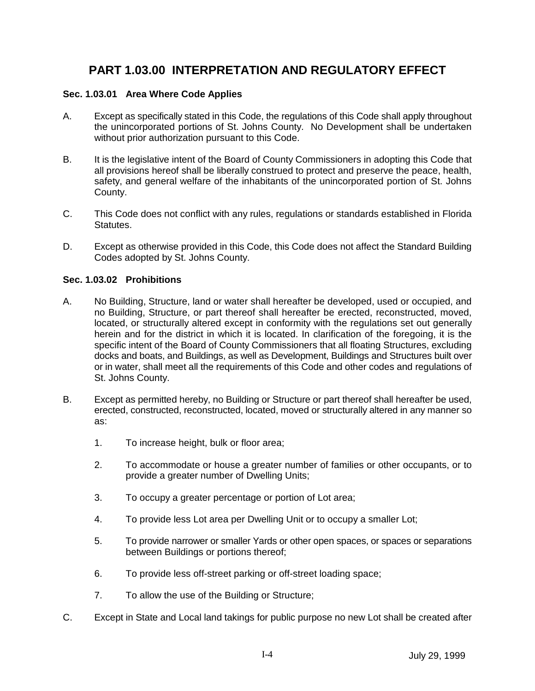## **PART 1.03.00 INTERPRETATION AND REGULATORY EFFECT**

#### **Sec. 1.03.01 Area Where Code Applies**

- A. Except as specifically stated in this Code, the regulations of this Code shall apply throughout the unincorporated portions of St. Johns County. No Development shall be undertaken without prior authorization pursuant to this Code.
- B. It is the legislative intent of the Board of County Commissioners in adopting this Code that all provisions hereof shall be liberally construed to protect and preserve the peace, health, safety, and general welfare of the inhabitants of the unincorporated portion of St. Johns County.
- C. This Code does not conflict with any rules, regulations or standards established in Florida Statutes.
- D. Except as otherwise provided in this Code, this Code does not affect the Standard Building Codes adopted by St. Johns County.

#### **Sec. 1.03.02 Prohibitions**

- A. No Building, Structure, land or water shall hereafter be developed, used or occupied, and no Building, Structure, or part thereof shall hereafter be erected, reconstructed, moved, located, or structurally altered except in conformity with the regulations set out generally herein and for the district in which it is located. In clarification of the foregoing, it is the specific intent of the Board of County Commissioners that all floating Structures, excluding docks and boats, and Buildings, as well as Development, Buildings and Structures built over or in water, shall meet all the requirements of this Code and other codes and regulations of St. Johns County.
- B. Except as permitted hereby, no Building or Structure or part thereof shall hereafter be used, erected, constructed, reconstructed, located, moved or structurally altered in any manner so as:
	- 1. To increase height, bulk or floor area;
	- 2. To accommodate or house a greater number of families or other occupants, or to provide a greater number of Dwelling Units;
	- 3. To occupy a greater percentage or portion of Lot area;
	- 4. To provide less Lot area per Dwelling Unit or to occupy a smaller Lot;
	- 5. To provide narrower or smaller Yards or other open spaces, or spaces or separations between Buildings or portions thereof;
	- 6. To provide less off-street parking or off-street loading space;
	- 7. To allow the use of the Building or Structure;
- C. Except in State and Local land takings for public purpose no new Lot shall be created after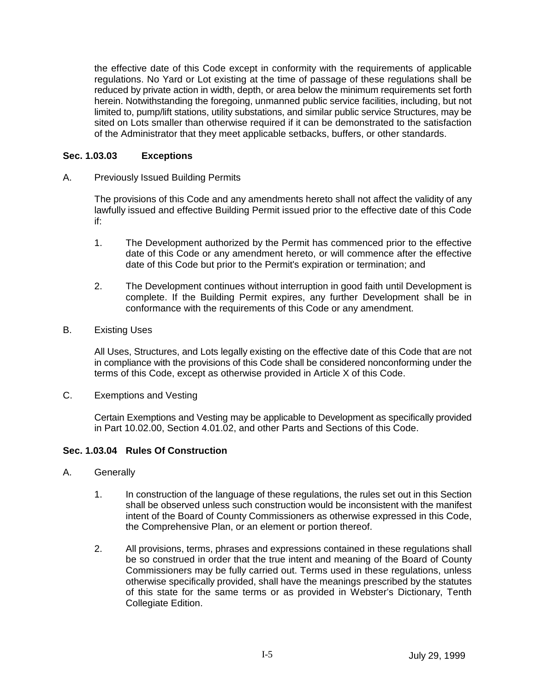the effective date of this Code except in conformity with the requirements of applicable regulations. No Yard or Lot existing at the time of passage of these regulations shall be reduced by private action in width, depth, or area below the minimum requirements set forth herein. Notwithstanding the foregoing, unmanned public service facilities, including, but not limited to, pump/lift stations, utility substations, and similar public service Structures, may be sited on Lots smaller than otherwise required if it can be demonstrated to the satisfaction of the Administrator that they meet applicable setbacks, buffers, or other standards.

### **Sec. 1.03.03 Exceptions**

A. Previously Issued Building Permits

The provisions of this Code and any amendments hereto shall not affect the validity of any lawfully issued and effective Building Permit issued prior to the effective date of this Code if:

- 1. The Development authorized by the Permit has commenced prior to the effective date of this Code or any amendment hereto, or will commence after the effective date of this Code but prior to the Permit's expiration or termination; and
- 2. The Development continues without interruption in good faith until Development is complete. If the Building Permit expires, any further Development shall be in conformance with the requirements of this Code or any amendment.
- B. Existing Uses

All Uses, Structures, and Lots legally existing on the effective date of this Code that are not in compliance with the provisions of this Code shall be considered nonconforming under the terms of this Code, except as otherwise provided in Article X of this Code.

C. Exemptions and Vesting

Certain Exemptions and Vesting may be applicable to Development as specifically provided in Part 10.02.00, Section 4.01.02, and other Parts and Sections of this Code.

### **Sec. 1.03.04 Rules Of Construction**

- A. Generally
	- 1. In construction of the language of these regulations, the rules set out in this Section shall be observed unless such construction would be inconsistent with the manifest intent of the Board of County Commissioners as otherwise expressed in this Code, the Comprehensive Plan, or an element or portion thereof.
	- 2. All provisions, terms, phrases and expressions contained in these regulations shall be so construed in order that the true intent and meaning of the Board of County Commissioners may be fully carried out. Terms used in these regulations, unless otherwise specifically provided, shall have the meanings prescribed by the statutes of this state for the same terms or as provided in Webster's Dictionary, Tenth Collegiate Edition.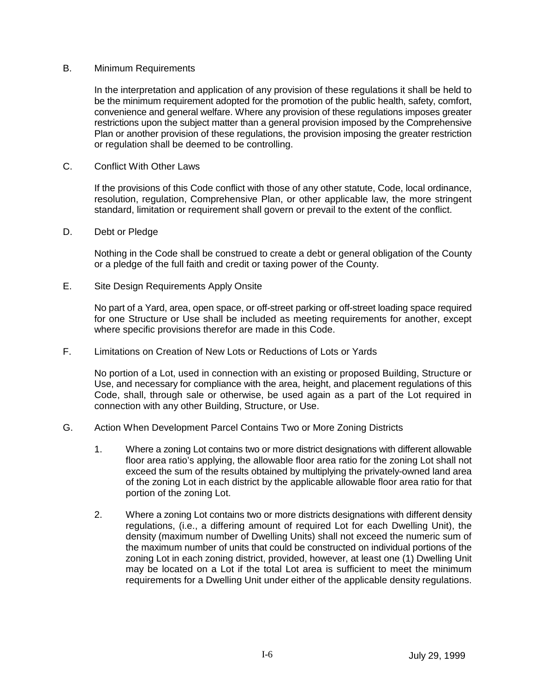#### B. Minimum Requirements

In the interpretation and application of any provision of these regulations it shall be held to be the minimum requirement adopted for the promotion of the public health, safety, comfort, convenience and general welfare. Where any provision of these regulations imposes greater restrictions upon the subject matter than a general provision imposed by the Comprehensive Plan or another provision of these regulations, the provision imposing the greater restriction or regulation shall be deemed to be controlling.

C. Conflict With Other Laws

If the provisions of this Code conflict with those of any other statute, Code, local ordinance, resolution, regulation, Comprehensive Plan, or other applicable law, the more stringent standard, limitation or requirement shall govern or prevail to the extent of the conflict.

D. Debt or Pledge

Nothing in the Code shall be construed to create a debt or general obligation of the County or a pledge of the full faith and credit or taxing power of the County.

E. Site Design Requirements Apply Onsite

No part of a Yard, area, open space, or off-street parking or off-street loading space required for one Structure or Use shall be included as meeting requirements for another, except where specific provisions therefor are made in this Code.

F. Limitations on Creation of New Lots or Reductions of Lots or Yards

No portion of a Lot, used in connection with an existing or proposed Building, Structure or Use, and necessary for compliance with the area, height, and placement regulations of this Code, shall, through sale or otherwise, be used again as a part of the Lot required in connection with any other Building, Structure, or Use.

- G. Action When Development Parcel Contains Two or More Zoning Districts
	- 1. Where a zoning Lot contains two or more district designations with different allowable floor area ratio's applying, the allowable floor area ratio for the zoning Lot shall not exceed the sum of the results obtained by multiplying the privately-owned land area of the zoning Lot in each district by the applicable allowable floor area ratio for that portion of the zoning Lot.
	- 2. Where a zoning Lot contains two or more districts designations with different density regulations, (i.e., a differing amount of required Lot for each Dwelling Unit), the density (maximum number of Dwelling Units) shall not exceed the numeric sum of the maximum number of units that could be constructed on individual portions of the zoning Lot in each zoning district, provided, however, at least one (1) Dwelling Unit may be located on a Lot if the total Lot area is sufficient to meet the minimum requirements for a Dwelling Unit under either of the applicable density regulations.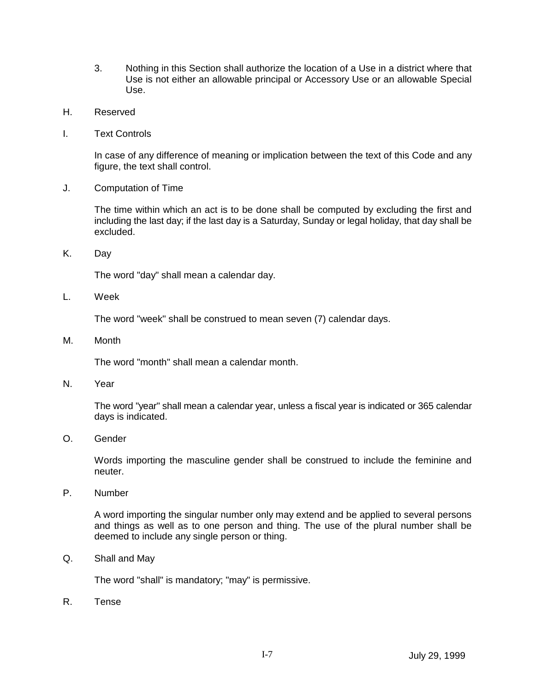- 3. Nothing in this Section shall authorize the location of a Use in a district where that Use is not either an allowable principal or Accessory Use or an allowable Special Use.
- H. Reserved
- I. Text Controls

In case of any difference of meaning or implication between the text of this Code and any figure, the text shall control.

J. Computation of Time

The time within which an act is to be done shall be computed by excluding the first and including the last day; if the last day is a Saturday, Sunday or legal holiday, that day shall be excluded.

K. Day

The word "day" shall mean a calendar day.

L. Week

The word "week" shall be construed to mean seven (7) calendar days.

M. Month

The word "month" shall mean a calendar month.

N. Year

The word "year" shall mean a calendar year, unless a fiscal year is indicated or 365 calendar days is indicated.

O. Gender

Words importing the masculine gender shall be construed to include the feminine and neuter.

P. Number

A word importing the singular number only may extend and be applied to several persons and things as well as to one person and thing. The use of the plural number shall be deemed to include any single person or thing.

Q. Shall and May

The word "shall" is mandatory; "may" is permissive.

R. Tense